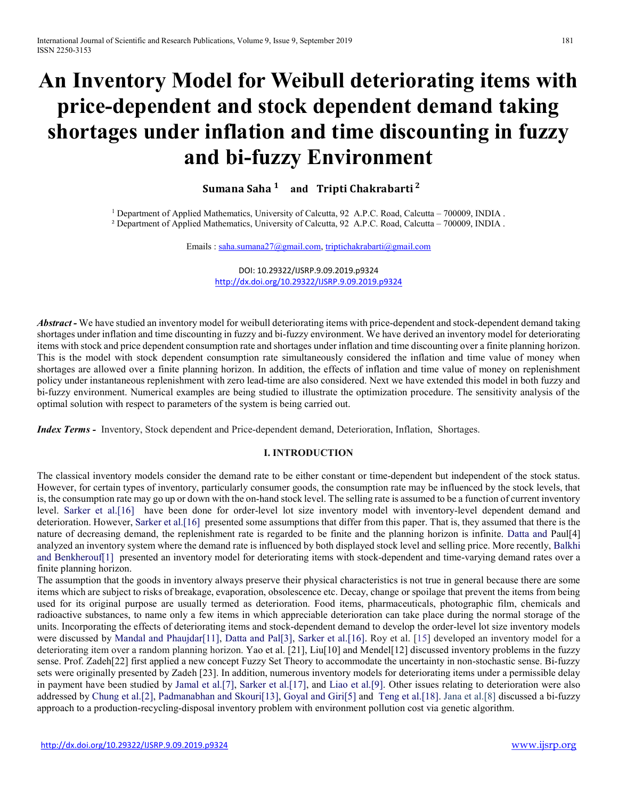# An Inventory Model for Weibull deteriorating items with price-dependent and stock dependent demand taking shortages under inflation and time discounting in fuzzy and bi-fuzzy Environment

Sumana Saha<sup>1</sup> and Tripti Chakrabarti<sup>2</sup>

<sup>1</sup> Department of Applied Mathematics, University of Calcutta, 92 A.P.C. Road, Calcutta – 700009, INDIA . ² Department of Applied Mathematics, University of Calcutta, 92 A.P.C. Road, Calcutta – 700009, INDIA .

Emails : saha.sumana27@gmail.com, triptichakrabarti@gmail.com

DOI: 10.29322/IJSRP.9.09.2019.p9324 http://dx.doi.org/10.29322/IJSRP.9.09.2019.p9324

Abstract - We have studied an inventory model for weibull deteriorating items with price-dependent and stock-dependent demand taking shortages under inflation and time discounting in fuzzy and bi-fuzzy environment. We have derived an inventory model for deteriorating items with stock and price dependent consumption rate and shortages under inflation and time discounting over a finite planning horizon. This is the model with stock dependent consumption rate simultaneously considered the inflation and time value of money when shortages are allowed over a finite planning horizon. In addition, the effects of inflation and time value of money on replenishment policy under instantaneous replenishment with zero lead-time are also considered. Next we have extended this model in both fuzzy and bi-fuzzy environment. Numerical examples are being studied to illustrate the optimization procedure. The sensitivity analysis of the optimal solution with respect to parameters of the system is being carried out.

Index Terms - Inventory, Stock dependent and Price-dependent demand, Deterioration, Inflation, Shortages.

## I. INTRODUCTION

The classical inventory models consider the demand rate to be either constant or time-dependent but independent of the stock status. However, for certain types of inventory, particularly consumer goods, the consumption rate may be influenced by the stock levels, that is, the consumption rate may go up or down with the on-hand stock level. The selling rate is assumed to be a function of current inventory level. Sarker et al.[16] have been done for order-level lot size inventory model with inventory-level dependent demand and deterioration. However, Sarker et al.[16] presented some assumptions that differ from this paper. That is, they assumed that there is the nature of decreasing demand, the replenishment rate is regarded to be finite and the planning horizon is infinite. Datta and Paul[4] analyzed an inventory system where the demand rate is influenced by both displayed stock level and selling price. More recently, Balkhi and Benkherouf[1] presented an inventory model for deteriorating items with stock-dependent and time-varying demand rates over a finite planning horizon.

The assumption that the goods in inventory always preserve their physical characteristics is not true in general because there are some items which are subject to risks of breakage, evaporation, obsolescence etc. Decay, change or spoilage that prevent the items from being used for its original purpose are usually termed as deterioration. Food items, pharmaceuticals, photographic film, chemicals and radioactive substances, to name only a few items in which appreciable deterioration can take place during the normal storage of the units. Incorporating the effects of deteriorating items and stock-dependent demand to develop the order-level lot size inventory models were discussed by Mandal and Phaujdar[11], Datta and Pal[3], Sarker et al.[16]. Roy et al. [15] developed an inventory model for a deteriorating item over a random planning horizon. Yao et al. [21], Liu[10] and Mendel[12] discussed inventory problems in the fuzzy sense. Prof. Zadeh[22] first applied a new concept Fuzzy Set Theory to accommodate the uncertainty in non-stochastic sense. Bi-fuzzy sets were originally presented by Zadeh [23]. In addition, numerous inventory models for deteriorating items under a permissible delay in payment have been studied by Jamal et al.[7], Sarker et al.[17], and Liao et al.[9]. Other issues relating to deterioration were also addressed by Chung et al.[2], Padmanabhan and Skouri[13], Goyal and Giri[5] and Teng et al.[18]. Jana et al.[8] discussed a bi-fuzzy approach to a production-recycling-disposal inventory problem with environment pollution cost via genetic algorithm.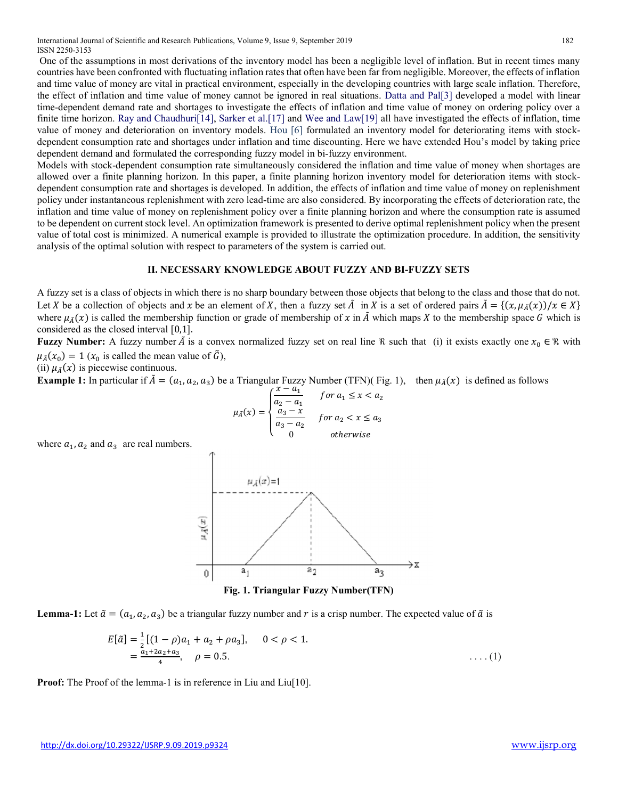International Journal of Scientific and Research Publications, Volume 9, Issue 9, September 2019 182 ISSN 2250-3153

 One of the assumptions in most derivations of the inventory model has been a negligible level of inflation. But in recent times many countries have been confronted with fluctuating inflation rates that often have been far from negligible. Moreover, the effects of inflation and time value of money are vital in practical environment, especially in the developing countries with large scale inflation. Therefore, the effect of inflation and time value of money cannot be ignored in real situations. Datta and Pal[3] developed a model with linear time-dependent demand rate and shortages to investigate the effects of inflation and time value of money on ordering policy over a finite time horizon. Ray and Chaudhuri[14], Sarker et al.[17] and Wee and Law[19] all have investigated the effects of inflation, time value of money and deterioration on inventory models. Hou [6] formulated an inventory model for deteriorating items with stockdependent consumption rate and shortages under inflation and time discounting. Here we have extended Hou's model by taking price dependent demand and formulated the corresponding fuzzy model in bi-fuzzy environment.

Models with stock-dependent consumption rate simultaneously considered the inflation and time value of money when shortages are allowed over a finite planning horizon. In this paper, a finite planning horizon inventory model for deterioration items with stockdependent consumption rate and shortages is developed. In addition, the effects of inflation and time value of money on replenishment policy under instantaneous replenishment with zero lead-time are also considered. By incorporating the effects of deterioration rate, the inflation and time value of money on replenishment policy over a finite planning horizon and where the consumption rate is assumed to be dependent on current stock level. An optimization framework is presented to derive optimal replenishment policy when the present value of total cost is minimized. A numerical example is provided to illustrate the optimization procedure. In addition, the sensitivity analysis of the optimal solution with respect to parameters of the system is carried out.

#### II. NECESSARY KNOWLEDGE ABOUT FUZZY AND BI-FUZZY SETS

A fuzzy set is a class of objects in which there is no sharp boundary between those objects that belong to the class and those that do not. Let X be a collection of objects and x be an element of X, then a fuzzy set  $\tilde{A}$  in X is a set of ordered pairs  $\tilde{A} = \{(x, \mu_{\tilde{A}}(x))/x \in X\}$ where  $\mu_{\tilde{\mathcal{A}}}(x)$  is called the membership function or grade of membership of x in  $\tilde{A}$  which maps X to the membership space G which is considered as the closed interval [0,1].

**Fuzzy Number:** A fuzzy number  $\tilde{A}$  is a convex normalized fuzzy set on real line R such that (i) it exists exactly one  $x_0 \in \mathbb{R}$  with  $\mu_{\tilde{A}}(x_0) = 1$  ( $x_0$  is called the mean value of  $\tilde{G}$ ),

(ii)  $\mu_{\tilde{A}}(x)$  is piecewise continuous.

**Example 1:** In particular if  $\tilde{A} = (a_1, a_2, a_3)$  be a Triangular Fuzzy Number (TFN)( Fig. 1), then  $\mu_{\tilde{A}}(x)$  is defined as follows  $\mu_{\tilde{A}}(x) = a_1 + a_2 + a_3$ 

$$
\mu_{\bar{A}}(x) = \begin{cases}\n\frac{x - a_1}{a_2 - a_1} & \text{for } a_1 \le x < a_2 \\
\frac{a_3 - x}{a_3 - a_2} & \text{for } a_2 < x \le a_3 \\
0 & \text{otherwise}\n\end{cases}
$$

where  $a_1$ ,  $a_2$  and  $a_3$  are real numbers.



Fig. 1. Triangular Fuzzy Number(TFN)

**Lemma-1:** Let  $\tilde{a} = (a_1, a_2, a_3)$  be a triangular fuzzy number and r is a crisp number. The expected value of  $\tilde{a}$  is

$$
E[\tilde{a}] = \frac{1}{2}[(1-\rho)a_1 + a_2 + \rho a_3], \quad 0 < \rho < 1.
$$
  
=  $\frac{a_1 + 2a_2 + a_3}{4}$ ,  $\rho = 0.5$ . (1)

Proof: The Proof of the lemma-1 is in reference in Liu and Liu<sup>[10]</sup>.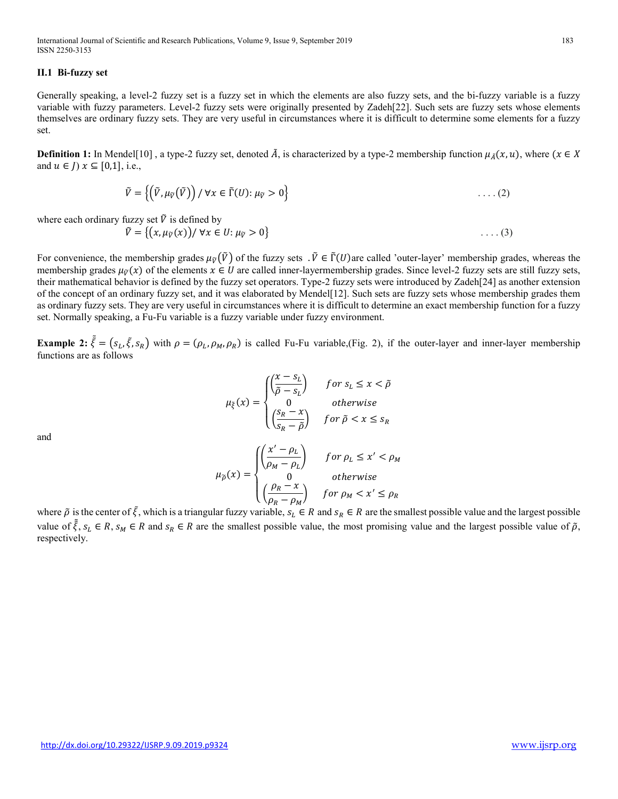International Journal of Scientific and Research Publications, Volume 9, Issue 9, September 2019 183 ISSN 2250-3153

## II.1 Bi-fuzzy set

Generally speaking, a level-2 fuzzy set is a fuzzy set in which the elements are also fuzzy sets, and the bi-fuzzy variable is a fuzzy variable with fuzzy parameters. Level-2 fuzzy sets were originally presented by Zadeh[22]. Such sets are fuzzy sets whose elements themselves are ordinary fuzzy sets. They are very useful in circumstances where it is difficult to determine some elements for a fuzzy set.

**Definition 1:** In Mendel[10], a type-2 fuzzy set, denoted  $\tilde{A}$ , is characterized by a type-2 membership function  $\mu_{\tilde{A}}(x, u)$ , where  $(x \in X$ and  $u \in J$ )  $x \subseteq [0,1]$ , i.e.,

$$
\tilde{V} = \left\{ \left( \tilde{V}, \mu_{\tilde{V}}(\tilde{V}) \right) / \forall x \in \tilde{\Gamma}(U) : \mu_{\tilde{V}} > 0 \right\} \tag{2}
$$

where each ordinary fuzzy set  $\tilde{V}$  is defined by

$$
\tilde{V} = \{ (x, \mu_{\tilde{V}}(x)) / \forall x \in U : \mu_{\tilde{V}} > 0 \}
$$
 (3)

For convenience, the membership grades  $\mu_{\tilde{v}}(\tilde{V})$  of the fuzzy sets  $\tilde{V} \in \tilde{\Gamma}(U)$ are called 'outer-layer' membership grades, whereas the membership grades  $\mu_{\bar{V}}(x)$  of the elements  $x \in U$  are called inner-layermembership grades. Since level-2 fuzzy sets are still fuzzy sets, their mathematical behavior is defined by the fuzzy set operators. Type-2 fuzzy sets were introduced by Zadeh[24] as another extension of the concept of an ordinary fuzzy set, and it was elaborated by Mendel[12]. Such sets are fuzzy sets whose membership grades them as ordinary fuzzy sets. They are very useful in circumstances where it is difficult to determine an exact membership function for a fuzzy set. Normally speaking, a Fu-Fu variable is a fuzzy variable under fuzzy environment.

**Example 2:**  $\tilde{\xi} = (s_L, \tilde{\xi}, s_R)$  with  $\rho = (\rho_L, \rho_M, \rho_R)$  is called Fu-Fu variable, (Fig. 2), if the outer-layer and inner-layer membership functions are as follows

$$
\mu_{\xi}(x) = \begin{cases}\n\left(\frac{x - s_L}{\tilde{\rho} - s_L}\right) & \text{for } s_L \le x < \tilde{\rho} \\
0 & \text{otherwise} \\
\left(\frac{s_R - x}{s_R - \tilde{\rho}}\right) & \text{for } \tilde{\rho} < x \le s_R\n\end{cases}
$$

and

$$
\mu_{\tilde{\rho}}(x) = \begin{cases}\n\left(\frac{x' - \rho_L}{\rho_M - \rho_L}\right) & \text{for } \rho_L \le x' < \rho_M \\
0 & \text{otherwise} \\
\left(\frac{\rho_R - x}{\rho_R - \rho_M}\right) & \text{for } \rho_M < x' \le \rho_R\n\end{cases}
$$

where  $\tilde{\rho}$  is the center of  $\tilde{\xi}$ , which is a triangular fuzzy variable,  $s_L \in R$  and  $s_R \in R$  are the smallest possible value and the largest possible value of  $\tilde{\xi}$ ,  $s_L \in R$ ,  $s_M \in R$  and  $s_R \in R$  are the smallest possible value, the most promising value and the largest possible value of  $\tilde{\rho}$ , respectively.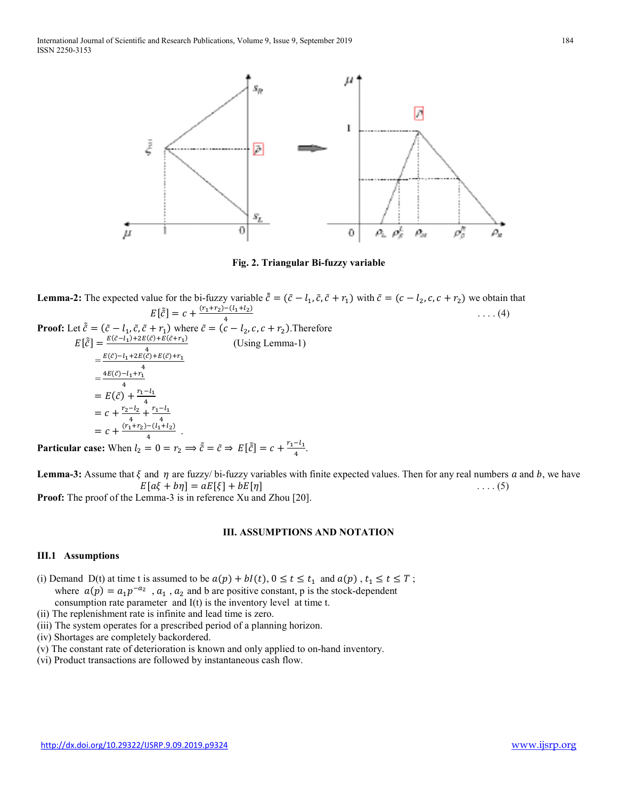

Fig. 2. Triangular Bi-fuzzy variable

**Lemma-2:** The expected value for the bi-fuzzy variable  $\tilde{c} = (\tilde{c} - l_1, \tilde{c}, \tilde{c} + r_1)$  with  $\tilde{c} = (c - l_2, c, c + r_2)$  we obtain that  $E[\tilde{c}] = c + \frac{(r_1+r_2)-(l_1+l_2)}{4}$  $\frac{-(t_1 + t_2)}{4}$  .... (4) **Proof:** Let  $\tilde{c} = (\tilde{c} - l_1, \tilde{c}, \tilde{c} + r_1)$  where  $\tilde{c} = (c - l_2, c, c + r_2)$ . Therefore  $E[\tilde{\tilde{c}}] = \frac{E(\tilde{c}-l_1) + 2E(\tilde{c}) + E(\tilde{c}+r_1)}{4}$  $\frac{(C)+E(C+1)}{4}$  (Using Lemma-1)

$$
= \frac{E(\tilde{c}) - l_1 + 2E(\tilde{c}) + E(\tilde{c}) + r_1}{4}
$$
  
\n
$$
= \frac{4E(\tilde{c}) - l_1 + r_1}{4}
$$
  
\n
$$
= E(\tilde{c}) + \frac{r_1 - l_1}{4}
$$
  
\n
$$
= c + \frac{r_2 - l_2}{4} + \frac{r_1 - l_1}{4}
$$
  
\n
$$
= c + \frac{(r_1 + r_2) - (l_1 + l_2)}{4}.
$$

Particular case: When  $l_2 = 0 = r_2 \implies \tilde{c} = \tilde{c} \implies E[\tilde{c}] = c + \frac{r_1 - l_1}{4}$ .

**Lemma-3:** Assume that  $\xi$  and  $\eta$  are fuzzy/ bi-fuzzy variables with finite expected values. Then for any real numbers a and b, we have  $E[a\xi + b\eta] = aE[\xi] + bE[\eta]$  ....(5) Proof: The proof of the Lemma-3 is in reference Xu and Zhou [20].

# III. ASSUMPTIONS AND NOTATION

#### III.1 Assumptions

(i) Demand D(t) at time t is assumed to be  $a(p) + bl(t)$ ,  $0 \le t \le t_1$  and  $a(p)$ ,  $t_1 \le t \le T$ ; where  $a(p) = a_1 p^{-a_2}$ ,  $a_1$ ,  $a_2$  and b are positive constant, p is the stock-dependent consumption rate parameter and I(t) is the inventory level at time t.

- (ii) The replenishment rate is infinite and lead time is zero.
- (iii) The system operates for a prescribed period of a planning horizon.
- (iv) Shortages are completely backordered.
- (v) The constant rate of deterioration is known and only applied to on-hand inventory.
- (vi) Product transactions are followed by instantaneous cash flow.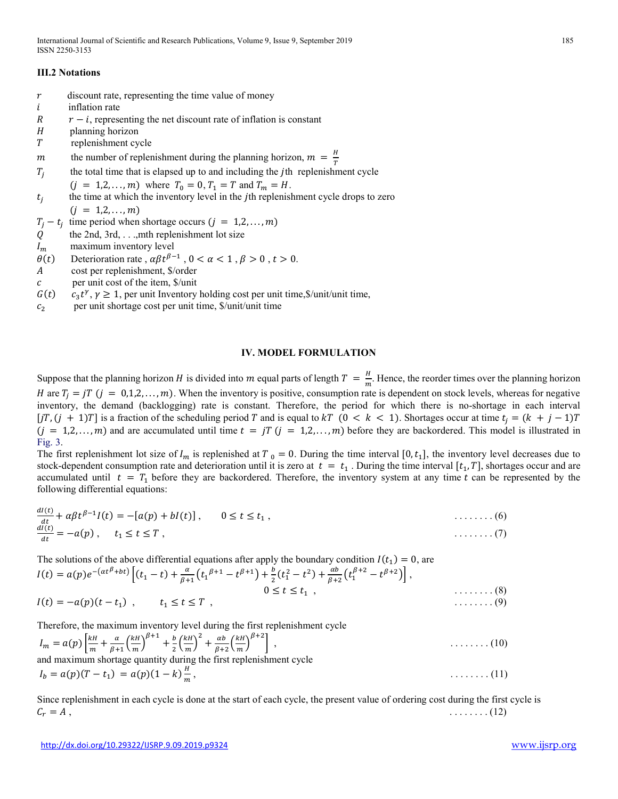# III.2 Notations

- $r$  discount rate, representing the time value of money
- $i$  inflation rate
- $R = r i$ , representing the net discount rate of inflation is constant
- planning horizon
- replenishment cycle

*m* the number of replenishment during the planning horizon,  $m = \frac{H}{T}$  $\pmb{T}$ 

- $T_i$ the total time that is elapsed up to and including the  $j$ th replenishment cycle  $(j = 1, 2, ..., m)$  where  $T_0 = 0, T_1 = T$  and  $T_m = H$ .
- $t_i$ the time at which the inventory level in the *j*th replenishment cycle drops to zero

$$
(j = 1,2,\ldots,m)
$$

 $T_j - t_j$  time period when shortage occurs  $(j = 1, 2, ..., m)$ 

- $Q$  the 2nd, 3rd, . . ., mth replenishment lot size
- $I_m$  maximum inventory level
- $\theta(t)$  Deterioration rate,  $\alpha \beta t^{\beta-1}$ ,  $0 < \alpha < 1$ ,  $\beta > 0$ ,  $t > 0$ .
- cost per replenishment, \$/order
- $c$  per unit cost of the item,  $\frac{1}{2}$ /unit
- $G(t)$  $t^{\gamma}, \gamma \geq 1$ , per unit Inventory holding cost per unit time, \$/unit/unit time,
- $c<sub>2</sub>$ per unit shortage cost per unit time, \$/unit/unit time

#### IV. MODEL FORMULATION

Suppose that the planning horizon H is divided into m equal parts of length  $T = \frac{H}{m}$ .  $\frac{n}{m}$ . Hence, the reorder times over the planning horizon H are  $T_j = jT$   $(j = 0,1,2,...,m)$ . When the inventory is positive, consumption rate is dependent on stock levels, whereas for negative inventory, the demand (backlogging) rate is constant. Therefore, the period for which there is no-shortage in each interval  $[jT,(j + 1)T]$  is a fraction of the scheduling period T and is equal to  $kT$  ( $0 < k < 1$ ). Shortages occur at time  $t_i = (k + j - 1)T$  $(j = 1, 2, \ldots, m)$  and are accumulated until time  $t = jT$   $(j = 1, 2, \ldots, m)$  before they are backordered. This model is illustrated in Fig. 3.

The first replenishment lot size of  $I_m$  is replenished at  $T_0 = 0$ . During the time interval  $[0, t_1]$ , the inventory level decreases due to stock-dependent consumption rate and deterioration until it is zero at  $t = t_1$ . During the time interval  $[t_1, T]$ , shortages occur and are accumulated until  $t = T_1$  before they are backordered. Therefore, the inventory system at any time t can be represented by the following differential equations:

$$
\frac{dI(t)}{dt} + \alpha \beta t^{\beta - 1} I(t) = -[a(p) + bI(t)], \qquad 0 \le t \le t_1, \qquad \qquad \dots \dots \dots (6)
$$
  

$$
\frac{dI(t)}{dt} = -a(p), \qquad t_1 \le t \le T,
$$

The solutions of the above differential equations after apply the boundary condition  $I(t_1) = 0$ , are

$$
I(t) = a(p)e^{-(\alpha t^{\beta} + bt)} \left[ (t_1 - t) + \frac{\alpha}{\beta + 1} \left( t_1^{\beta + 1} - t^{\beta + 1} \right) + \frac{b}{2} \left( t_1^2 - t^2 \right) + \frac{\alpha b}{\beta + 2} \left( t_1^{\beta + 2} - t^{\beta + 2} \right) \right],
$$
  
\n
$$
I(t) = -a(p)(t - t_1), \qquad t_1 \le t \le T,
$$
  
\n(8)  
\n(9)

Therefore, the maximum inventory level during the first replenishment cycle

$$
I_m = a(p) \left[ \frac{kH}{m} + \frac{\alpha}{\beta + 1} \left( \frac{kH}{m} \right)^{\beta + 1} + \frac{b}{2} \left( \frac{kH}{m} \right)^2 + \frac{\alpha b}{\beta + 2} \left( \frac{kH}{m} \right)^{\beta + 2} \right],
$$
  
and maximum shortage quantity during the first replacement cycle  

$$
I_b = a(p)(T - t_1) = a(p)(1 - k) \frac{H}{m},
$$
........(11)

Since replenishment in each cycle is done at the start of each cycle, the present value of ordering cost during the first cycle is = , . . . . . . . . (12)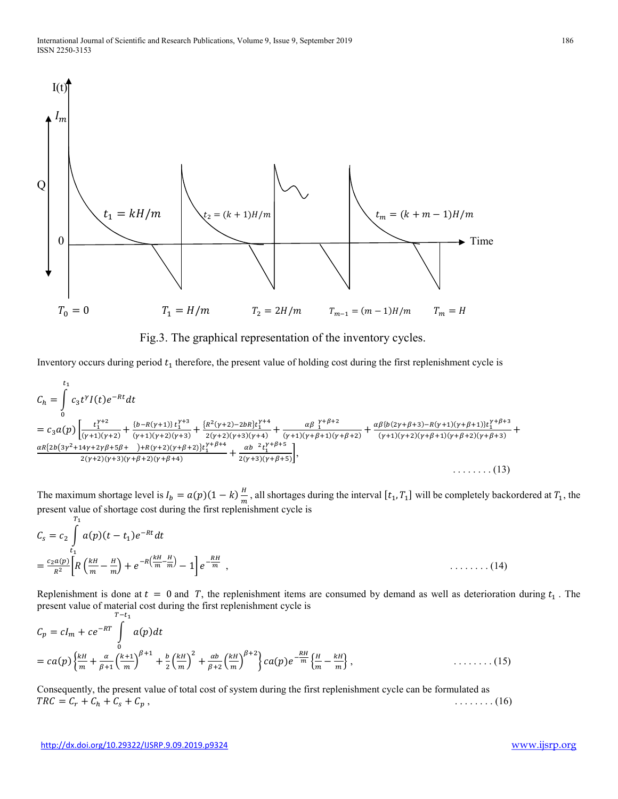

Fig.3. The graphical representation of the inventory cycles.

Inventory occurs during period  $t_1$  therefore, the present value of holding cost during the first replenishment cycle is

$$
C_{h} = \int_{0}^{t_{1}} c_{3}t^{\gamma} I(t)e^{-Rt}dt
$$
\n
$$
= c_{3}a(p)\left[\frac{t_{1}^{\gamma+2}}{(\gamma+1)(\gamma+2)} + \frac{\{b-R(\gamma+1)\}t_{1}^{\gamma+3}}{(\gamma+1)(\gamma+2)(\gamma+3)} + \frac{\{R^{2}(\gamma+2)-2bR\}t_{1}^{\gamma+4}}{2(\gamma+2)(\gamma+3)(\gamma+4)} + \frac{\alpha\beta}{(\gamma+1)(\gamma+\beta+1)(\gamma+\beta+2)} + \frac{\alpha\beta\{b(2\gamma+\beta+3)-R(\gamma+1)(\gamma+\beta+1)\}t_{1}^{\gamma+\beta+3}}{(\gamma+1)(\gamma+2)(\gamma+\beta+1)(\gamma+\beta+2)(\gamma+\beta+3)} + \frac{\alpha\beta\{b(2\gamma+\beta+3)-R(\gamma+1)(\gamma+\beta+1)\}t_{1}^{\gamma+\beta+3}}{2(\gamma+2)(\gamma+3)(\gamma+\beta+2)(\gamma+\beta+4)} + \frac{\alpha b}{2(\gamma+3)(\gamma+\beta+5)}\right],
$$
\n
$$
\dots \dots \dots (13)
$$

The maximum shortage level is  $I_b = a(p)(1 - k) \frac{H}{m}$  $\frac{n}{m}$ , all shortages during the interval  $[t_1, T_1]$  will be completely backordered at  $T_1$ , the present value of shortage cost during the first replenishment cycle is  $T<sub>1</sub>$ 

$$
C_{s} = c_{2} \int_{t_{1}}^{t_{1}} a(p)(t - t_{1})e^{-Rt}dt
$$
  
=  $\frac{c_{2}a(p)}{R^{2}} \left[R\left(\frac{kH}{m} - \frac{H}{m}\right) + e^{-R\left(\frac{kH}{m} - \frac{H}{m}\right)} - 1\right]e^{-\frac{RH}{m}}$ ,  $\dots \dots \dots (14)$ 

Replenishment is done at  $t = 0$  and T, the replenishment items are consumed by demand as well as deterioration during  $t_1$ . The present value of material cost during the first replenishment cycle is  $T-t_1$ 

$$
C_p = cI_m + ce^{-RT} \int_0^1 a(p)dt
$$
  
=  $ca(p)\left\{\frac{kH}{m} + \frac{\alpha}{\beta+1}\left(\frac{k+1}{m}\right)^{\beta+1} + \frac{b}{2}\left(\frac{kH}{m}\right)^2 + \frac{ab}{\beta+2}\left(\frac{kH}{m}\right)^{\beta+2}\right\}ca(p)e^{-\frac{RH}{m}}\left\{\frac{H}{m} - \frac{kH}{m}\right\},$  (15)

Consequently, the present value of total cost of system during the first replenishment cycle can be formulated as  $TRC = C_r + C_h + C_s + C_p,$  (16)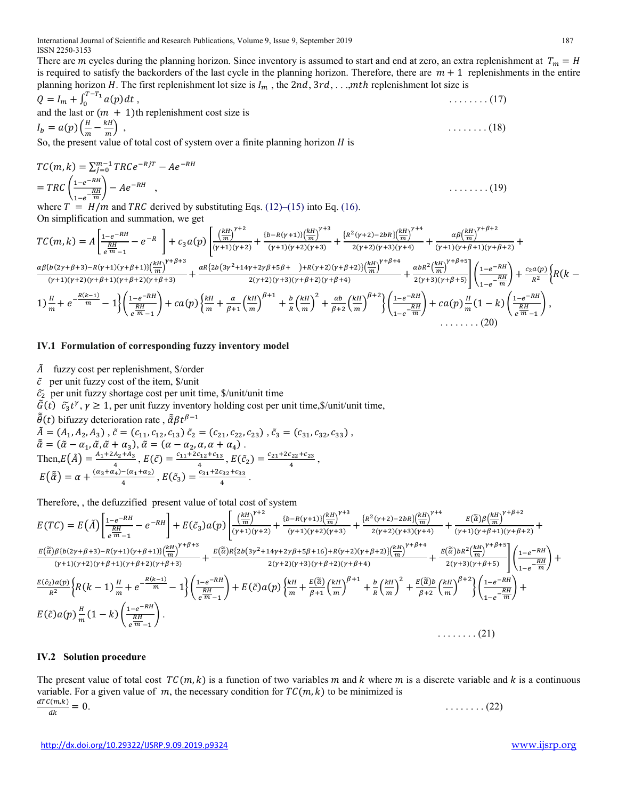There are *m* cycles during the planning horizon. Since inventory is assumed to start and end at zero, an extra replenishment at  $T_m = H$ is required to satisfy the backorders of the last cycle in the planning horizon. Therefore, there are  $m + 1$  replenishments in the entire planning horizon H. The first replenishment lot size is  $I_m$ , the 2nd,  $3rd$ , . . .,*mth* replenishment lot size is

$$
Q = I_m + \int_0^{T-T_1} a(p) dt,
$$
  
and the last or  $(m + 1)$ th replacement cost size is  

$$
I_b = a(p) \left(\frac{H}{m} - \frac{kH}{m}\right),
$$
 (18)

So, the present value of total cost of system over a finite planning horizon  $H$  is

$$
TC(m, k) = \sum_{j=0}^{m-1} TRCe^{-RjT} - Ae^{-RH}
$$
  
= 
$$
TRC\left(\frac{1-e^{-RH}}{1-e^{-RH}}\right) - Ae^{-RH}
$$
,  
where  $T = U(m, m, n)$  TPC density is the probability of E<sub>1</sub> (10)

where  $T = H/m$  and TRC derived by substituting Eqs. (12)–(15) into Eq. (16). On simplification and summation, we get

$$
TC(m,k) = A \left[ \frac{1 - e^{-RH}}{e^{\frac{RH}{m}} - 1} - e^{-R} \right] + c_3 a(p) \left[ \frac{\left(\frac{kH}{m}\right)^{\gamma+2}}{(\gamma+1)(\gamma+2)} + \frac{\left(b - R(\gamma+1)\right)\left(\frac{kH}{m}\right)^{\gamma+3}}{(\gamma+1)(\gamma+2)(\gamma+3)} + \frac{\left\{R^2(\gamma+2) - 2bR\right\}\left(\frac{kH}{m}\right)^{\gamma+4}}{2(\gamma+2)(\gamma+3)(\gamma+4)} + \frac{\alpha\beta\left(\frac{kH}{m}\right)^{\gamma+\beta+2}}{(\gamma+1)(\gamma+\beta+1)(\gamma+\beta+2)} + \frac{\alpha\beta\left(b(2\gamma+\beta+3) - R(\gamma+1)(\gamma+\beta+1)\right)\left(\frac{kH}{m}\right)^{\gamma+\beta+3}}{(\gamma+1)(\gamma+\beta+2)(\gamma+\beta+1)(\gamma+\beta+2)(\gamma+\beta+3)} + \frac{\alpha R\left\{2b\left(3\gamma^2+14\gamma+2\gamma\beta+5\beta+1\right) + R(\gamma+2)(\gamma+\beta+2)\right\}\left(\frac{kH}{m}\right)^{\gamma+\beta+4}}{2(\gamma+2)(\gamma+\beta+2)(\gamma+\beta+4)} + \frac{\alpha bR^2\left(\frac{kH}{m}\right)^{\gamma+\beta+5}}{2(\gamma+3)(\gamma+\beta+5)} \right] \left( \frac{1 - e^{-RH}}{1 - e^{-\frac{RH}{m}}} \right) + \frac{c_2 a(p)}{R^2} \left\{ R\left(k-1\right) \left(\frac{1 - e^{-RH}}{e^{-\frac{RH}{m}}} - 1\right) \left( \frac{1 - e^{-RH}}{e^{\frac{RH}{m}} - 1} \right) + ca(p) \left\{ \frac{1 - e^{-RH}}{e^{\frac{RH}{m}} - 1} \right\} + ca(p) \left\{ \frac{1 - e^{-RH}}{e^{\frac{RH}{m}} - 1} \right\} + ca(p) \left\{ \frac{1 - e^{-RH}}{e^{\frac{RH}{m}} - 1} \right\} + ca(p) \left\{ \frac{1 - e^{-RH}}{e^{\frac{RH}{m}} - 1} \right\} + ca(p) \left\{ \frac{1 - e^{-RH}}{e^{\frac{RH}{m}} - 1} \right\} + ca(p) \left\{ \frac{1 - e^{-RH}}{e^{\frac
$$

#### IV.1 Formulation of corresponding fuzzy inventory model

 $\tilde{A}$  fuzzy cost per replenishment, \$/order

 $\tilde{c}$  per unit fuzzy cost of the item,  $\frac{\tilde{c}}{\tilde{c}}$  per unit

 $\tilde{c}_2$  per unit fuzzy shortage cost per unit time, \$/unit/unit time

 $\tilde{G}(t)$   $\tilde{c}_3 t^{\gamma}, \gamma \ge 1$ , per unit fuzzy inventory holding cost per unit time, \$/unit/unit time,

 $\tilde{\tilde{\theta}}(t)$  bifuzzy deterioration rate,  $\tilde{\tilde{\alpha}} \beta t^{\beta - 1}$ 

 $\tilde{A} = (A_1, A_2, A_3)$ ,  $\tilde{c} = (c_{11}, c_{12}, c_{13})$ ,  $\tilde{c}_2 = (c_{21}, c_{22}, c_{23})$ ,  $\tilde{c}_3 = (c_{31}, c_{32}, c_{33})$ ,  $\tilde{\tilde{\alpha}} = (\tilde{\alpha} - \alpha_1, \tilde{\alpha}, \tilde{\alpha} + \alpha_3), \tilde{\alpha} = (\alpha - \alpha_2, \alpha, \alpha + \alpha_4).$ Then,  $E(\tilde{A}) = \frac{A_1 + 2A_2 + A_3}{4}$  $\frac{A_2+A_3}{4}$ ,  $E(\tilde{c}) = \frac{c_{11}+2c_{12}+c_{13}}{4}$  $\frac{C_{12}+C_{13}}{4}$ ,  $E(\tilde{c}_2) = \frac{c_{21}+2c_{22}+c_{23}}{4}$  $\frac{122+123}{4}$ ,  $E(\tilde{\alpha}) = \alpha + \frac{(\alpha_3 + \alpha_4) - (\alpha_1 + \alpha_2)}{4}$  $\frac{-(\alpha_1+\alpha_2)}{4}$ ,  $E(\tilde{c}_3) = \frac{c_{31}+2c_{32}+c_{33}}{4}$  $\frac{132+133}{4}$ .

Therefore, , the defuzzified present value of total cost of system

$$
E(TC) = E(\tilde{A}) \left[ \frac{1 - e^{-RH}}{e^{\frac{RH}{m}} - 1} - e^{-RH} \right] + E(\tilde{c}_{3}) a(p) \left[ \frac{\left(\frac{kH}{m}\right)^{\gamma+2}}{(\gamma+1)(\gamma+2)} + \frac{\left(b-R(\gamma+1)\right)\left(\frac{kH}{m}\right)^{\gamma+3}}{(\gamma+1)(\gamma+2)(\gamma+3)} + \frac{\left\{R^{2}(\gamma+2)-2bR\right\}\left(\frac{kH}{m}\right)^{\gamma+4}}{2(\gamma+2)(\gamma+3)(\gamma+4)} + \frac{E(\tilde{\tilde{\alpha}})\beta\left(\frac{kH}{m}\right)^{\gamma+\beta+2}}{(\gamma+1)(\gamma+\beta+1)(\gamma+\beta+2)(\gamma+\beta+1)(\gamma+\beta+2)(\gamma+\beta+3)} + \frac{E(\tilde{\tilde{\alpha}})R\left\{2b\left(3\gamma^{2}+14\gamma+2\gamma\beta+5\beta+16\right)+R(\gamma+2)(\gamma+\beta+2)\right\}\left(\frac{kH}{m}\right)^{\gamma+\beta+4}}{2(\gamma+2)(\gamma+\beta+1)(\gamma+\beta+1)(\gamma+\beta+2)(\gamma+\beta+3)} + \frac{E(\tilde{\tilde{\alpha}})R\left\{2b\left(3\gamma^{2}+14\gamma+2\gamma\beta+5\beta+16\right)+R(\gamma+2)(\gamma+\beta+2)\right\}\left(\frac{kH}{m}\right)^{\gamma+\beta+4}}{2(\gamma+2)(\gamma+3)(\gamma+\beta+2)(\gamma+\beta+4)} + \frac{E(\tilde{\tilde{\alpha}})bR^{2}\left(\frac{kH}{m}\right)^{\gamma+\beta+5}}{2(\gamma+3)(\gamma+\beta+5)} \left[ \left(\frac{1-e^{-RH}}{1-e^{-RH}}\right) + \frac{E(\tilde{\tilde{\alpha}})a(p)\left\{\frac{kH}{m} + \frac{E(\tilde{\tilde{\alpha}})}{\beta+1}\left(\frac{kH}{m}\right)^{\beta+1} + \frac{b}{R}\left(\frac{kH}{m}\right)^{2} + \frac{E(\tilde{\tilde{\alpha}})b}{\beta+2}\left(\frac{kH}{m}\right)^{\beta+2} \right\}\left(\frac{1-e^{-RH}}{1-e^{-RH}}\right) + \frac{E(\tilde{\tilde{\alpha}})a(p)\frac{H}{m} \left(1-k\right) \left(\frac{1-e^{-RH}}{e^{\frac
$$

#### IV.2 Solution procedure

The present value of total cost  $TC(m, k)$  is a function of two variables m and k where m is a discrete variable and k is a continuous variable. For a given value of  $m$ , the necessary condition for  $TC(m, k)$  to be minimized is  $\frac{dTC(m,k)}{m} = 0.$  $dk$  $\ldots$  . . . . . . (22)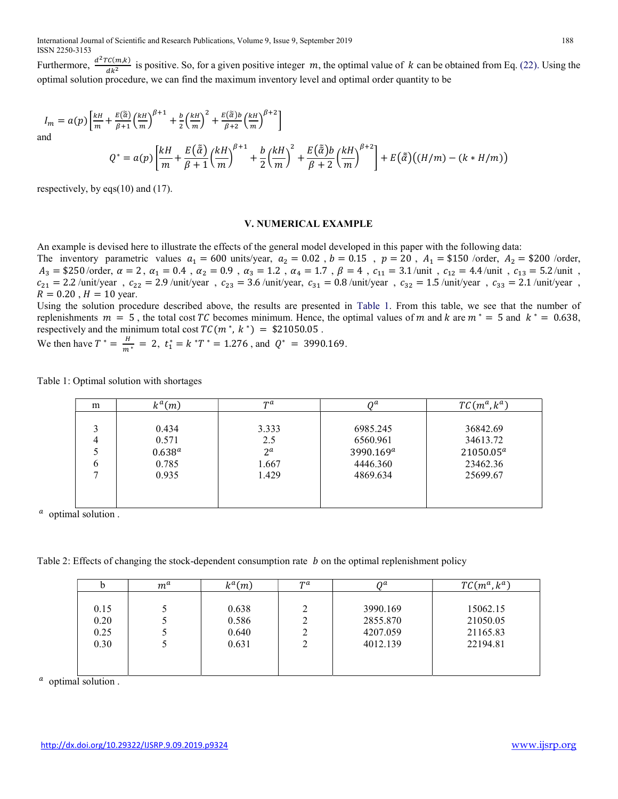Furthermore,  $\frac{d^2TC(m,k)}{m^2}$  $\frac{C(m,k)}{dk^2}$  is positive. So, for a given positive integer m, the optimal value of k can be obtained from Eq. (22). Using the optimal solution procedure, we can find the maximum inventory level and optimal order quantity to be

$$
I_m = a(p) \left[ \frac{kH}{m} + \frac{E(\tilde{\tilde{\alpha}})}{\beta + 1} \left( \frac{kH}{m} \right)^{\beta + 1} + \frac{b}{2} \left( \frac{kH}{m} \right)^2 + \frac{E(\tilde{\tilde{\alpha}})b}{\beta + 2} \left( \frac{kH}{m} \right)^{\beta + 2} \right]
$$
  
and  

$$
Q^* = a(p) \left[ \frac{kH}{m} + \frac{E(\tilde{\tilde{\alpha}})}{\beta + 1} \left( \frac{kH}{m} \right)^{\beta + 1} + \frac{b}{2} \left( \frac{kH}{m} \right)^2 + \frac{E(\tilde{\tilde{\alpha}})b}{\beta + 2} \left( \frac{kH}{m} \right)^{\beta + 2} \right] + E(\tilde{\tilde{\alpha}}) \left( (H/m) - (k * H/m) \right)
$$

respectively, by eqs(10) and (17).

#### V. NUMERICAL EXAMPLE

An example is devised here to illustrate the effects of the general model developed in this paper with the following data: The inventory parametric values  $a_1 = 600$  units/year,  $a_2 = 0.02$ ,  $b = 0.15$ ,  $p = 20$ ,  $A_1 = $150$  /order,  $A_2 = $200$  /order,  $A_3 = $250/\text{order}, \alpha = 2, \alpha_1 = 0.4, \alpha_2 = 0.9, \alpha_3 = 1.2, \alpha_4 = 1.7, \beta = 4, c_{11} = 3.1/\text{unit}, c_{12} = 4.4/\text{unit}, c_{13} = 5.2/\text{unit},$  $c_{21} = 2.2$  /unit/year,  $c_{22} = 2.9$  /unit/year,  $c_{23} = 3.6$  /unit/year,  $c_{31} = 0.8$  /unit/year,  $c_{32} = 1.5$  /unit/year,  $c_{33} = 2.1$  /unit/year,  $R = 0.20$ ,  $H = 10$  year.

Using the solution procedure described above, the results are presented in Table 1. From this table, we see that the number of replenishments  $m = 5$ , the total cost TC becomes minimum. Hence, the optimal values of m and k are  $m^* = 5$  and  $k^* = 0.638$ , respectively and the minimum total cost  $TC(m^*, k^*) = $21050.05$ .

We then have  $T^* = \frac{H}{m^*}$  $\frac{H}{m^*}$  = 2,  $t_1^* = k^*T^* = 1.276$ , and  $Q^* = 3990.169$ .

| m | $k^a(m)$<br>ĸ | $T^a$        | nα                    | $TC(m^a, k^a)$ |
|---|---------------|--------------|-----------------------|----------------|
|   |               |              |                       |                |
| 2 | 0.434         | 3.333        | 6985.245              | 36842.69       |
|   | 0.571         | 2.5          | 6560.961              | 34613.72       |
|   | $0.638^{a}$   | $2^{\alpha}$ | 3990.169 <sup>a</sup> | $21050.05^a$   |
| 6 | 0.785         | 1.667        | 4446.360              | 23462.36       |
|   | 0.935         | 1.429        | 4869.634              | 25699.67       |
|   |               |              |                       |                |
|   |               |              |                       |                |

Table 1: Optimal solution with shortages

 $\alpha$  optimal solution.

Table 2: Effects of changing the stock-dependent consumption rate  $\,b\,$  on the optimal replenishment policy

| $m^a$ | $k^a(m)$ | $T^a$ | $\Omega$ | $TC(m^a, k^a)$ |
|-------|----------|-------|----------|----------------|
|       |          |       |          |                |
|       |          |       |          | 15062.15       |
|       | 0.586    |       | 2855.870 | 21050.05       |
|       | 0.640    |       | 4207.059 | 21165.83       |
|       | 0.631    |       | 4012.139 | 22194.81       |
|       |          |       |          |                |
|       |          |       |          |                |
|       |          | 0.638 |          | 3990.169       |

 $\alpha$  optimal solution.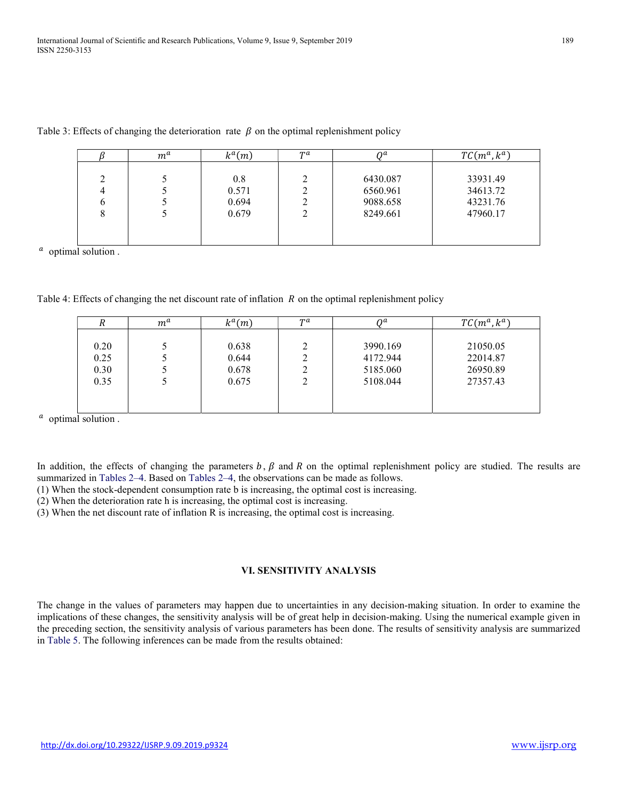|                  | $m^a$ | $k^a(m)$                       | $T^a$ | nα                                           | $TC(m^a, k^a)$                               |
|------------------|-------|--------------------------------|-------|----------------------------------------------|----------------------------------------------|
| 2<br>4<br>b<br>8 |       | 0.8<br>0.571<br>0.694<br>0.679 | ◠     | 6430.087<br>6560.961<br>9088.658<br>8249.661 | 33931.49<br>34613.72<br>43231.76<br>47960.17 |

Table 3: Effects of changing the deterioration rate  $\beta$  on the optimal replenishment policy

 $\alpha$  optimal solution.

| Table 4: Effects of changing the net discount rate of inflation $R$ on the optimal replenishment policy |  |  |
|---------------------------------------------------------------------------------------------------------|--|--|

| л    | $m^a$ | $k^a(m)$ | $T^a$ | nα       | $TC(m^a, k^a)$ |
|------|-------|----------|-------|----------|----------------|
|      |       |          |       |          |                |
| 0.20 |       | 0.638    | າ     | 3990.169 | 21050.05       |
| 0.25 |       | 0.644    |       | 4172.944 | 22014.87       |
| 0.30 |       | 0.678    |       | 5185.060 | 26950.89       |
| 0.35 |       | 0.675    |       | 5108.044 | 27357.43       |
|      |       |          |       |          |                |
|      |       |          |       |          |                |

 $\alpha$  optimal solution.

In addition, the effects of changing the parameters  $b, \beta$  and  $R$  on the optimal replenishment policy are studied. The results are summarized in Tables 2–4. Based on Tables 2–4, the observations can be made as follows.

(1) When the stock-dependent consumption rate b is increasing, the optimal cost is increasing.

(2) When the deterioration rate h is increasing, the optimal cost is increasing.

(3) When the net discount rate of inflation R is increasing, the optimal cost is increasing.

# VI. SENSITIVITY ANALYSIS

The change in the values of parameters may happen due to uncertainties in any decision-making situation. In order to examine the implications of these changes, the sensitivity analysis will be of great help in decision-making. Using the numerical example given in the preceding section, the sensitivity analysis of various parameters has been done. The results of sensitivity analysis are summarized in Table 5. The following inferences can be made from the results obtained: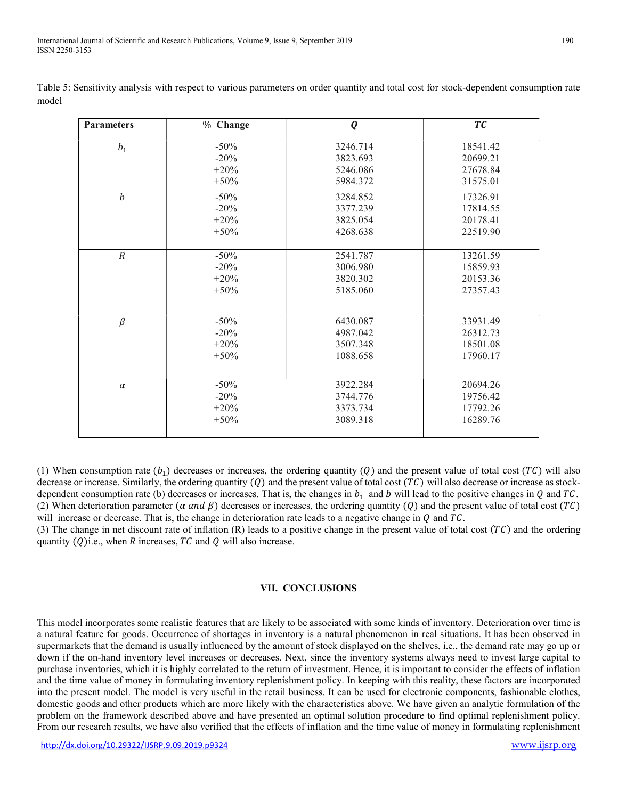| <b>Parameters</b> | % Change | Q        | TC       |
|-------------------|----------|----------|----------|
| $b_1$             | $-50%$   | 3246.714 | 18541.42 |
|                   | $-20\%$  | 3823.693 | 20699.21 |
|                   | $+20%$   | 5246.086 | 27678.84 |
|                   | $+50%$   | 5984.372 | 31575.01 |
| $\boldsymbol{b}$  | $-50%$   | 3284.852 | 17326.91 |
|                   | $-20%$   | 3377.239 | 17814.55 |
|                   | $+20%$   | 3825.054 | 20178.41 |
|                   | $+50%$   | 4268.638 | 22519.90 |
| $\overline{R}$    | $-50%$   | 2541.787 | 13261.59 |
|                   | $-20%$   | 3006.980 | 15859.93 |
|                   | $+20%$   | 3820.302 | 20153.36 |
|                   | $+50%$   | 5185.060 | 27357.43 |
|                   |          |          |          |
| $\beta$           | $-50%$   | 6430.087 | 33931.49 |
|                   | $-20%$   | 4987.042 | 26312.73 |
|                   | $+20%$   | 3507.348 | 18501.08 |
|                   | $+50%$   | 1088.658 | 17960.17 |
|                   |          |          |          |
| $\alpha$          | $-50%$   | 3922.284 | 20694.26 |
|                   | $-20%$   | 3744.776 | 19756.42 |
|                   | $+20%$   | 3373.734 | 17792.26 |
|                   | $+50%$   | 3089.318 | 16289.76 |

Table 5: Sensitivity analysis with respect to various parameters on order quantity and total cost for stock-dependent consumption rate model

(1) When consumption rate  $(b_1)$  decreases or increases, the ordering quantity (Q) and the present value of total cost (TC) will also decrease or increase. Similarly, the ordering quantity  $(Q)$  and the present value of total cost  $(TC)$  will also decrease or increase as stockdependent consumption rate (b) decreases or increases. That is, the changes in  $b_1$  and b will lead to the positive changes in Q and TC. (2) When deterioration parameter ( $\alpha$  and  $\beta$ ) decreases or increases, the ordering quantity (Q) and the present value of total cost (TC) will increase or decrease. That is, the change in deterioration rate leads to a negative change in  $Q$  and  $TC$ .

(3) The change in net discount rate of inflation  $(R)$  leads to a positive change in the present value of total cost  $(TC)$  and the ordering quantity  $(Q)$ i.e., when R increases, TC and Q will also increase.

# VII. CONCLUSIONS

This model incorporates some realistic features that are likely to be associated with some kinds of inventory. Deterioration over time is a natural feature for goods. Occurrence of shortages in inventory is a natural phenomenon in real situations. It has been observed in supermarkets that the demand is usually influenced by the amount of stock displayed on the shelves, i.e., the demand rate may go up or down if the on-hand inventory level increases or decreases. Next, since the inventory systems always need to invest large capital to purchase inventories, which it is highly correlated to the return of investment. Hence, it is important to consider the effects of inflation and the time value of money in formulating inventory replenishment policy. In keeping with this reality, these factors are incorporated into the present model. The model is very useful in the retail business. It can be used for electronic components, fashionable clothes, domestic goods and other products which are more likely with the characteristics above. We have given an analytic formulation of the problem on the framework described above and have presented an optimal solution procedure to find optimal replenishment policy. From our research results, we have also verified that the effects of inflation and the time value of money in formulating replenishment